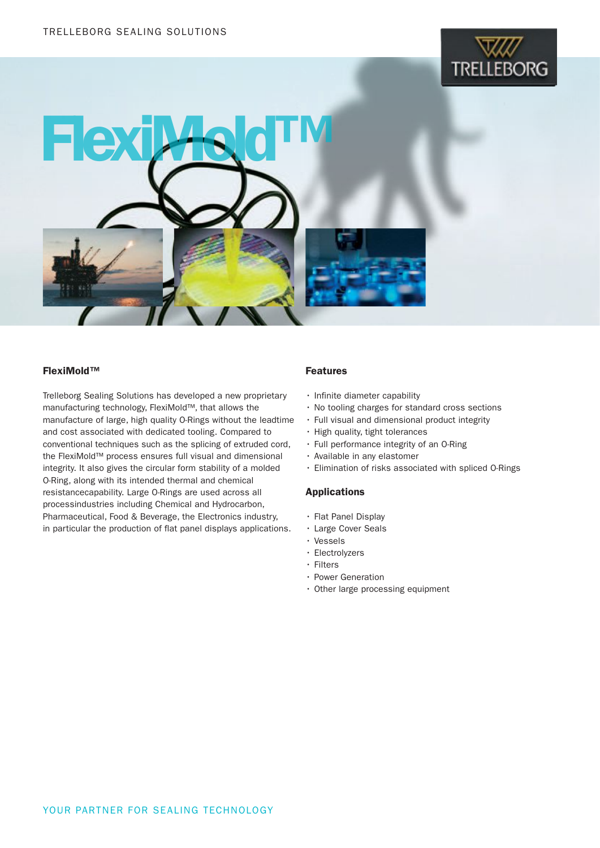



### FlexiMold™

Trelleborg Sealing Solutions has developed a new proprietary manufacturing technology, FlexiMold™, that allows the manufacture of large, high quality O-Rings without the leadtime and cost associated with dedicated tooling. Compared to conventional techniques such as the splicing of extruded cord, the FlexiMold™ process ensures full visual and dimensional integrity. It also gives the circular form stability of a molded O-Ring, along with its intended thermal and chemical resistancecapability. Large O-Rings are used across all processindustries including Chemical and Hydrocarbon, Pharmaceutical, Food & Beverage, the Electronics industry, in particular the production of flat panel displays applications.

## Features

- Infinite diameter capability
- • No tooling charges for standard cross sections
- • Full visual and dimensional product integrity
- • High quality, tight tolerances
- • Full performance integrity of an O-Ring
- • Available in any elastomer
- • Elimination of risks associated with spliced O-Rings

### **Applications**

- • Flat Panel Display
- • Large Cover Seals
- • Vessels
- • Electrolyzers
- • Filters
- Power Generation
- Other large processing equipment